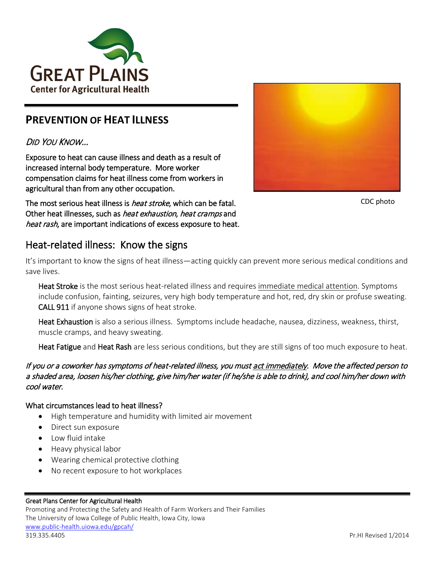

# **PREVENTION OF HEAT ILLNESS**

### DID YOU KNOW…

Exposure to heat can cause illness and death as a result of increased internal body temperature. More worker compensation claims for heat illness come from workers in agricultural than from any other occupation.



CDC photo

The most serious heat illness is *heat stroke*, which can be fatal. Other heat illnesses, such as *heat exhaustion, heat cramps* and heat rash, are important indications of excess exposure to heat.

### Heat-related illness: Know the signs

It's important to know the signs of heat illness—acting quickly can prevent more serious medical conditions and save lives.

Heat Stroke is the most serious heat-related illness and requires immediate medical attention. Symptoms include confusion, fainting, seizures, very high body temperature and hot, red, dry skin or profuse sweating. CALL 911 if anyone shows signs of heat stroke.

Heat Exhaustion is also a serious illness. Symptoms include headache, nausea, dizziness, weakness, thirst, muscle cramps, and heavy sweating.

Heat Fatigue and Heat Rash are less serious conditions, but they are still signs of too much exposure to heat.

#### If you or a coworker has symptoms of heat-related illness, you must act immediately. Move the affected person to a shaded area, loosen his/her clothing, give him/her water (if he/she is able to drink), and cool him/her down with cool water.

#### What circumstances lead to heat illness?

- High temperature and humidity with limited air movement
- Direct sun exposure
- Low fluid intake
- Heavy physical labor
- Wearing chemical protective clothing
- No recent exposure to hot workplaces

#### Great Plans Center for Agricultural Health

Promoting and Protecting the Safety and Health of Farm Workers and Their Families The University of Iowa College of Public Health, Iowa City, Iowa [www.public-health.uiowa.edu/gpcah/](http://www.public-health.uiowa.edu/gpcah/) 319.335.4405 Pr.HI Revised 1/2014